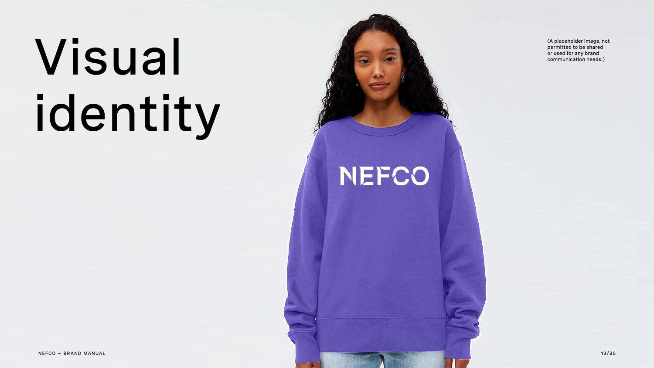# Visual identity

NEFCO

(A placeholder image, not permitted to be shared or used for any brand communication needs.)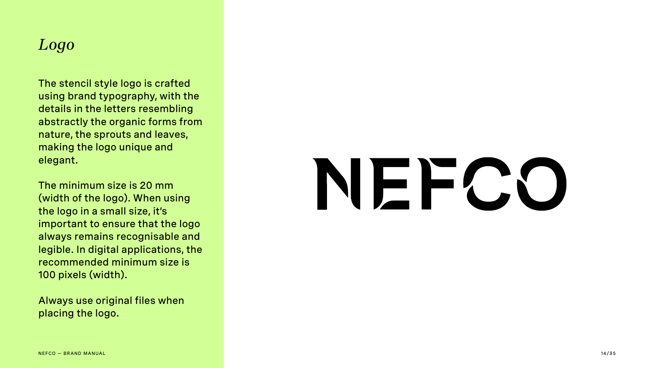### *Logo*

The stencil style logo is crafted using brand typography, with the details in the letters resembling abstractly the organic forms from nature, the sprouts and leaves, making the logo unique and elegant.

The minimum size is 20 mm (width of the logo). When using the logo in a small size, it's important to ensure that the logo always remains recognisable and legible. In digital applications, the recommended minimum size is 100 pixels (width).

Always use original files when placing the logo.

# VECC

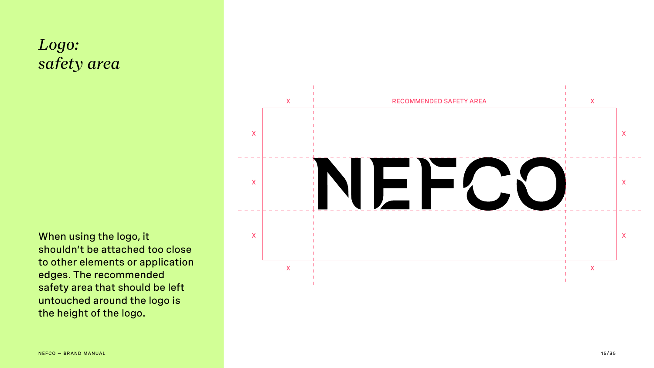

### *Logo: safety area*

When using the logo, it shouldn't be attached too close to other elements or application edges. The recommended safety area that should be left untouched around the logo is the height of the logo.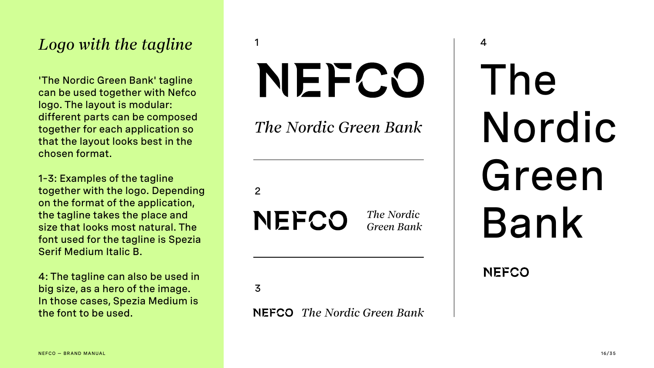#### *The Nordic Green Bank*

*The Nordic Green Bank*

# The Nordic Green Bank

NEFCO

#### *The Nordic Green Bank*

2

3

Serif Medium Italic B. 1–3: Examples of the tagline together with the logo. Depending on the format of the application, the tagline takes the place and size that looks most natural. The font used for the tagline is Spezia Serif Medium Italic B.

4: The tagline can also be used in big size, as a hero of the image. In those cases, Spezia Medium is the font to be used.

### Logo with the tagline

'The Nordic Green Bank' tagline can be used together with Nefco logo. The layout is modular: different parts can be composed together for each application so that the layout looks best in the chosen format.

# NECO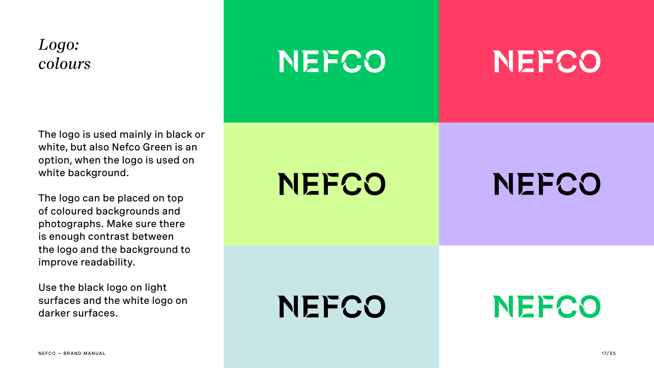### *Logo: colours*

The logo is used mainly in black or white, but also Nefco Green is an option, when the logo is used on white background.

The logo can be placed on top of coloured backgrounds and photographs. Make sure there is enough contrast between the logo and the background to improve readability.

Use the black logo on light surfaces and the white logo on darker surfaces.

### NEPCO

## NEFCO

## NEFCO

## NEPCO

## NEFCO

## NEFCO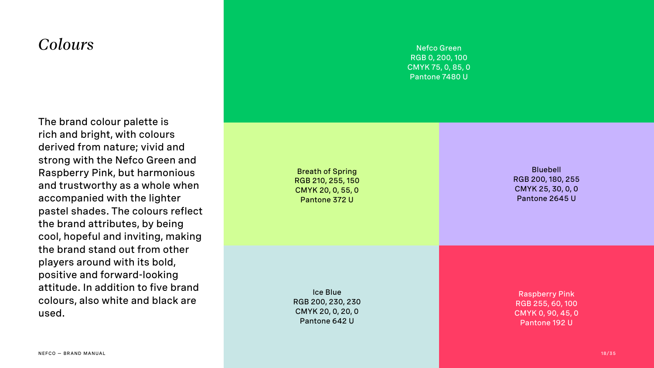The brand colour palette is rich and bright, with colours derived from nature; vivid and strong with the Nefco Green and Raspberry Pink, but harmonious and trustworthy as a whole when accompanied with the lighter pastel shades. The colours reflect the brand attributes, by being cool, hopeful and inviting, making the brand stand out from other players around with its bold, positive and forward-looking attitude. In addition to five brand colours, also white and black are used.

Nefco Green RGB 0, 200, 100 CMYK 75, 0, 85, 0 Pantone 7480 U

Ice Blue RGB 200, 230, 230 CMYK 20, 0, 20, 0 Pantone 642 U

Bluebell RGB 200, 180, 255 CMYK 25, 30, 0, 0 Pantone 2645 U

#### *Colours*

Breath of Spring RGB 210, 255, 150 CMYK 20, 0, 55, 0 Pantone 372 U

> Raspberry Pink RGB 255, 60, 100 CMYK 0, 90, 45, 0 Pantone 192 U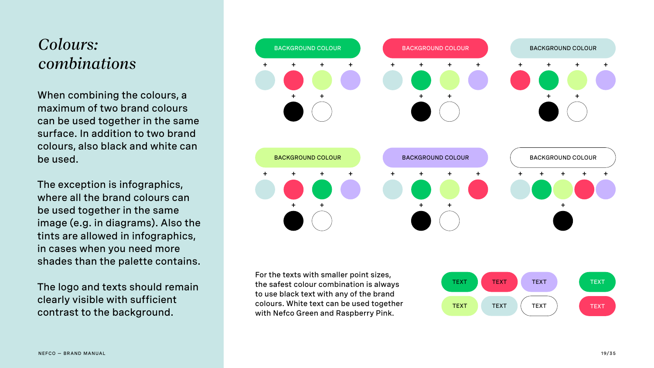





When combining the colours, a maximum of two brand colours can be used together in the same surface. In addition to two brand colours, also black and white can be used.

The exception is infographics, where all the brand colours can be used together in the same image (e.g. in diagrams). Also the tints are allowed in infographics, in cases when you need more shades than the palette contains.

The logo and texts should remain clearly visible with sufficient contrast to the background.

### *Colours: combinations*



For the texts with smaller point sizes, the safest colour combination is always to use black text with any of the brand colours. White text can be used together with Nefco Green and Raspberry Pink.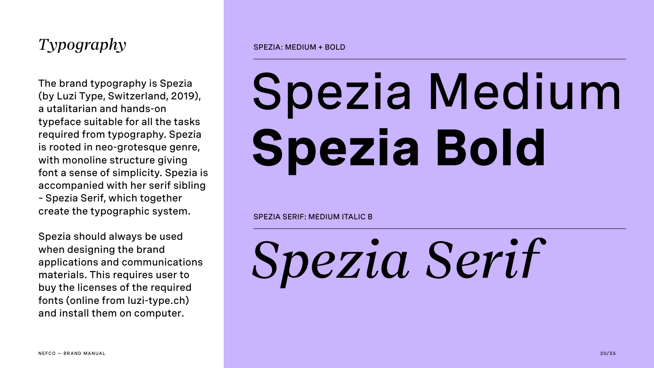### *Typography*

The brand typography is Spezia (by Luzi Type, Switzerland, 2019), a utalitarian and hands-on typeface suitable for all the tasks required from typography. Spezia is rooted in neo-grotesque genre, with monoline structure giving font a sense of simplicity. Spezia is accompanied with her serif sibling – Spezia Serif, which together create the typographic system.

Spezia should always be used when designing the brand applications and communications materials. This requires user to buy the licenses of the required fonts (online from luzi-type.ch) and install them on computer.

# Spezia Medium **Spezia Bold**

# *Spezia Serif*

SPEZIA: MEDIUM + BOLD

SPEZIA SERIF: MEDIUM ITALIC B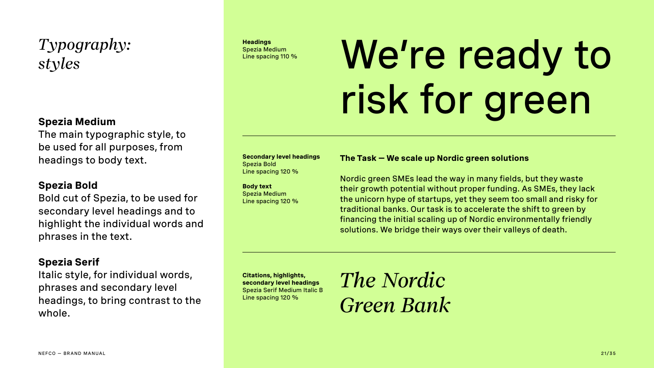### *Typography: styles*

#### **Secondary level headings** Spezia Bold Line spacing 120 %

**Body text** Spezia Medium Line spacing 120 %

## Spezia Medium<br>Line spacing 110 % We're ready to risk for green

**Citations, highlights, secondary level headings** Spezia Serif Medium Italic B Line spacing 120 %

*The Nordic Green Bank*

**Headings** Spezia Medium

#### **The Task — We scale up Nordic green solutions**

Nordic green SMEs lead the way in many fields, but they waste their growth potential without proper funding. As SMEs, they lack the unicorn hype of startups, yet they seem too small and risky for traditional banks. Our task is to accelerate the shift to green by financing the initial scaling up of Nordic environmentally friendly solutions. We bridge their ways over their valleys of death.

#### **Spezia Medium**

The main typographic style, to be used for all purposes, from headings to body text.

#### **Spezia Bold**

Bold cut of Spezia, to be used for secondary level headings and to highlight the individual words and phrases in the text.

#### **Spezia Serif**

Italic style, for individual words, phrases and secondary level headings, to bring contrast to the whole.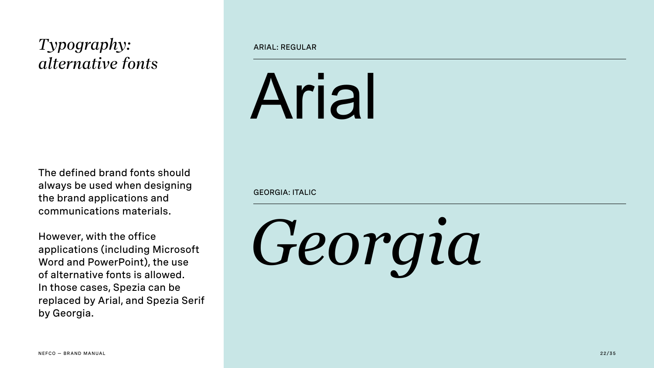### *Typography: alternative fonts*

The defined brand fonts should always be used when designing the brand applications and communications materials.

However, with the office applications (including Microsoft Word and PowerPoint), the use of alternative fonts is allowed. In those cases, Spezia can be replaced by Arial, and Spezia Serif by Georgia.

# Arial

# *Georgia*



#### ARIAL: REGULAR

GEORGIA: ITALIC